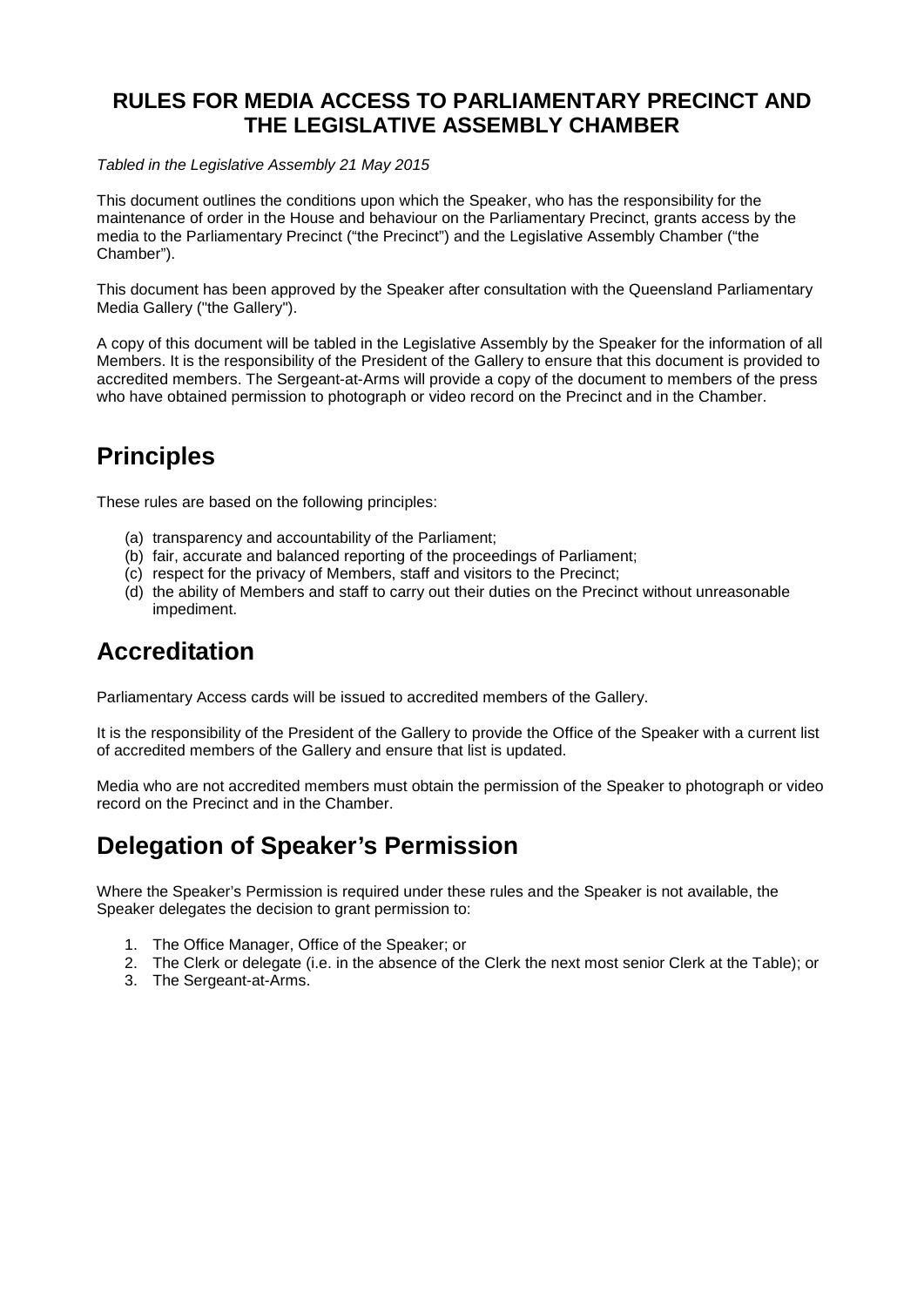## **RULES FOR MEDIA ACCESS TO PARLIAMENTARY PRECINCT AND THE LEGISLATIVE ASSEMBLY CHAMBER**

*Tabled in the Legislative Assembly 21 May 2015*

This document outlines the conditions upon which the Speaker, who has the responsibility for the maintenance of order in the House and behaviour on the Parliamentary Precinct, grants access by the media to the Parliamentary Precinct ("the Precinct") and the Legislative Assembly Chamber ("the Chamber").

This document has been approved by the Speaker after consultation with the Queensland Parliamentary Media Gallery ("the Gallery").

A copy of this document will be tabled in the Legislative Assembly by the Speaker for the information of all Members. It is the responsibility of the President of the Gallery to ensure that this document is provided to accredited members. The Sergeant-at-Arms will provide a copy of the document to members of the press who have obtained permission to photograph or video record on the Precinct and in the Chamber.

# **Principles**

These rules are based on the following principles:

- (a) transparency and accountability of the Parliament;
- (b) fair, accurate and balanced reporting of the proceedings of Parliament;
- (c) respect for the privacy of Members, staff and visitors to the Precinct;
- (d) the ability of Members and staff to carry out their duties on the Precinct without unreasonable impediment.

# **Accreditation**

Parliamentary Access cards will be issued to accredited members of the Gallery.

It is the responsibility of the President of the Gallery to provide the Office of the Speaker with a current list of accredited members of the Gallery and ensure that list is updated.

Media who are not accredited members must obtain the permission of the Speaker to photograph or video record on the Precinct and in the Chamber.

# **Delegation of Speaker's Permission**

Where the Speaker's Permission is required under these rules and the Speaker is not available, the Speaker delegates the decision to grant permission to:

- 1. The Office Manager, Office of the Speaker; or
- 2. The Clerk or delegate (i.e. in the absence of the Clerk the next most senior Clerk at the Table); or
- 3. The Sergeant-at-Arms.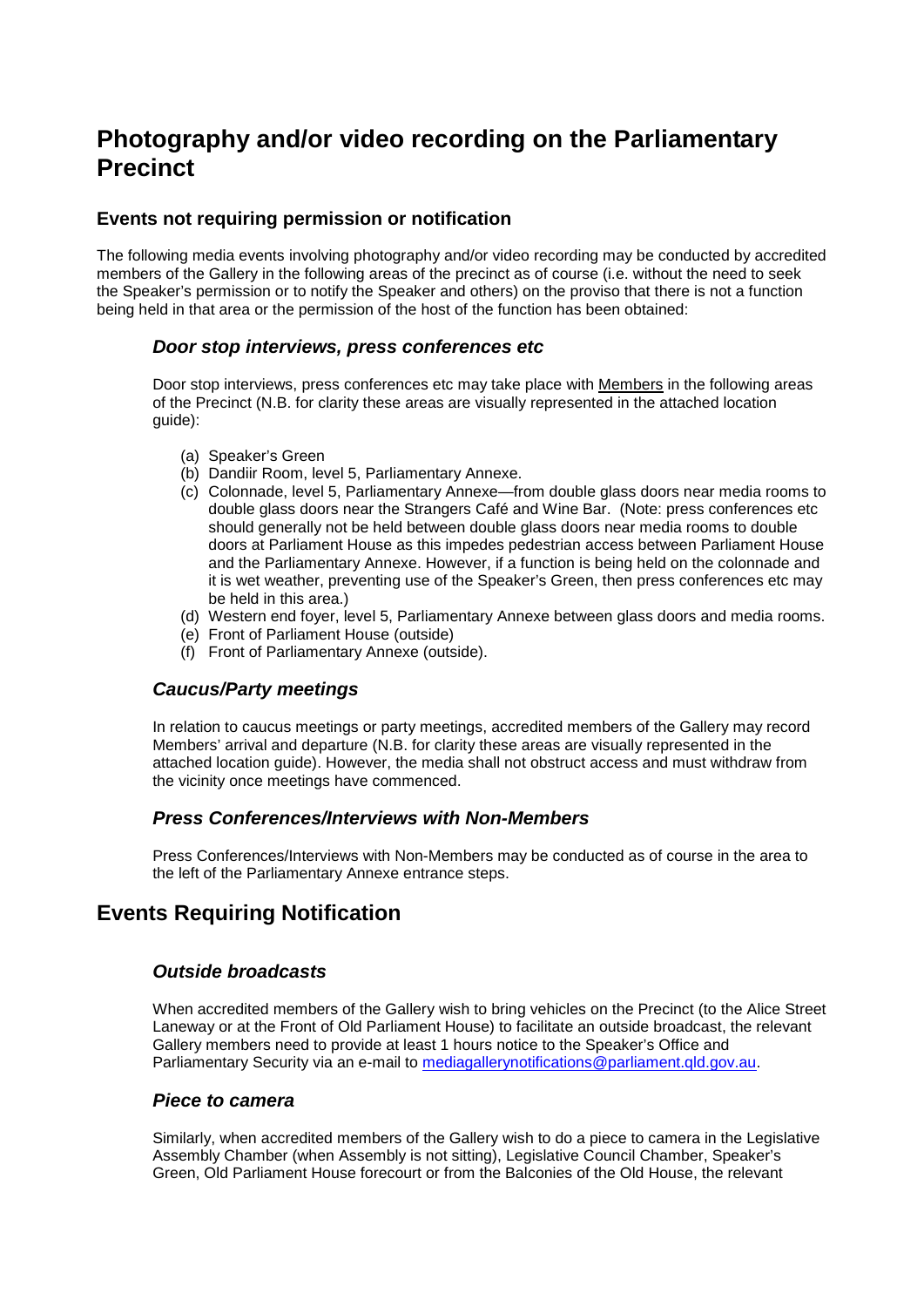## **Photography and/or video recording on the Parliamentary Precinct**

## **Events not requiring permission or notification**

The following media events involving photography and/or video recording may be conducted by accredited members of the Gallery in the following areas of the precinct as of course (i.e. without the need to seek the Speaker's permission or to notify the Speaker and others) on the proviso that there is not a function being held in that area or the permission of the host of the function has been obtained:

## *Door stop interviews, press conferences etc*

Door stop interviews, press conferences etc may take place with Members in the following areas of the Precinct (N.B. for clarity these areas are visually represented in the attached location guide):

- (a) Speaker's Green
- (b) Dandiir Room, level 5, Parliamentary Annexe.
- (c) Colonnade, level 5, Parliamentary Annexe—from double glass doors near media rooms to double glass doors near the Strangers Café and Wine Bar. (Note: press conferences etc should generally not be held between double glass doors near media rooms to double doors at Parliament House as this impedes pedestrian access between Parliament House and the Parliamentary Annexe. However, if a function is being held on the colonnade and it is wet weather, preventing use of the Speaker's Green, then press conferences etc may be held in this area.)
- (d) Western end foyer, level 5, Parliamentary Annexe between glass doors and media rooms.
- (e) Front of Parliament House (outside)
- (f) Front of Parliamentary Annexe (outside).

## *Caucus/Party meetings*

In relation to caucus meetings or party meetings, accredited members of the Gallery may record Members' arrival and departure (N.B. for clarity these areas are visually represented in the attached location guide). However, the media shall not obstruct access and must withdraw from the vicinity once meetings have commenced.

## *Press Conferences/Interviews with Non-Members*

Press Conferences/Interviews with Non-Members may be conducted as of course in the area to the left of the Parliamentary Annexe entrance steps.

## **Events Requiring Notification**

## *Outside broadcasts*

When accredited members of the Gallery wish to bring vehicles on the Precinct (to the Alice Street Laneway or at the Front of Old Parliament House) to facilitate an outside broadcast, the relevant Gallery members need to provide at least 1 hours notice to the Speaker's Office and Parliamentary Security via an e-mail to [mediagallerynotifications@parliament.qld.gov.au.](mailto:mediagallerynotifications@parliament.qld.gov.au)

### *Piece to camera*

Similarly, when accredited members of the Gallery wish to do a piece to camera in the Legislative Assembly Chamber (when Assembly is not sitting), Legislative Council Chamber, Speaker's Green, Old Parliament House forecourt or from the Balconies of the Old House, the relevant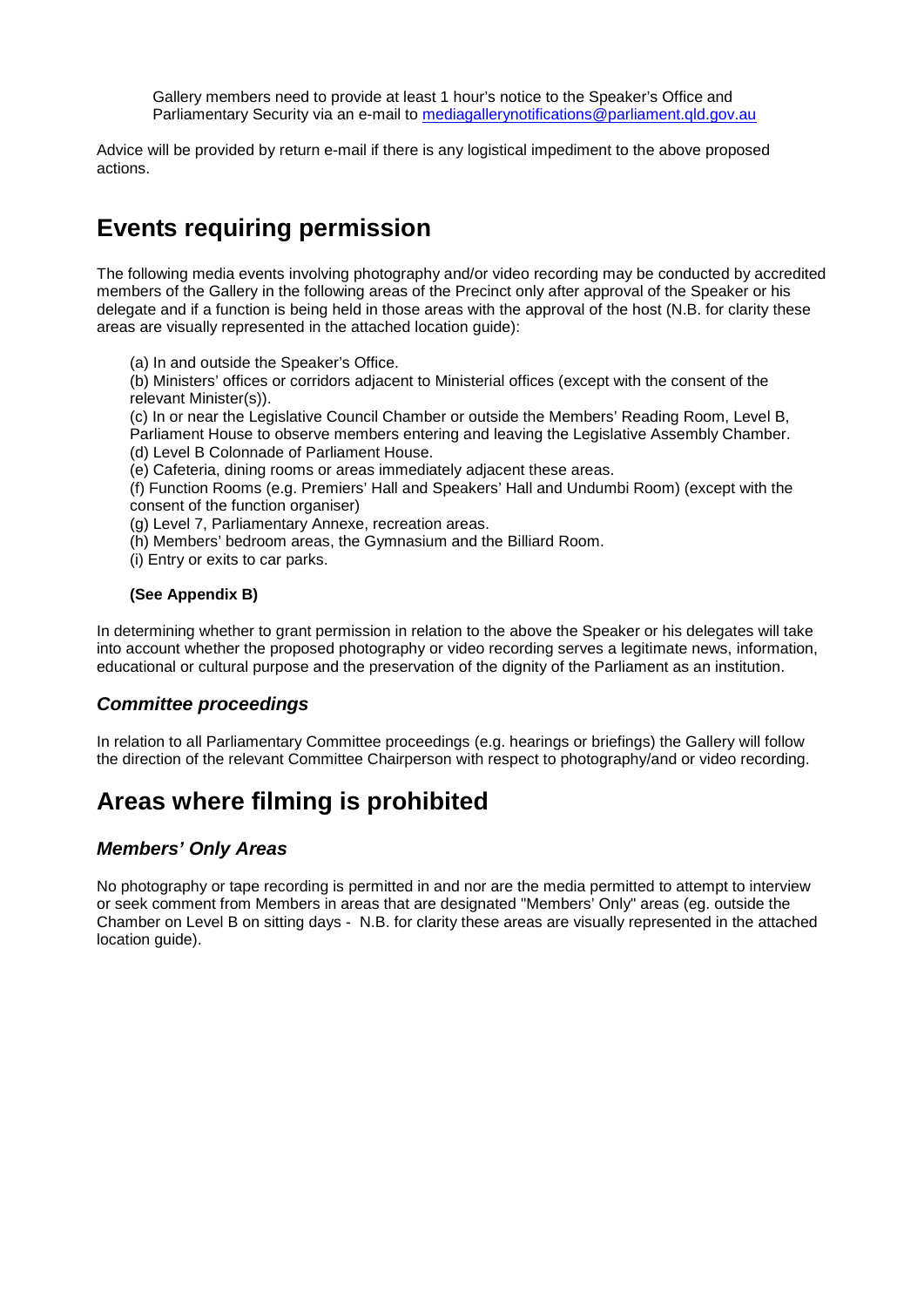Gallery members need to provide at least 1 hour's notice to the Speaker's Office and Parliamentary Security via an e-mail to [mediagallerynotifications@parliament.qld.gov.au](mailto:mediagallerynotifications@parliament.qld.gov.au)

Advice will be provided by return e-mail if there is any logistical impediment to the above proposed actions.

# **Events requiring permission**

The following media events involving photography and/or video recording may be conducted by accredited members of the Gallery in the following areas of the Precinct only after approval of the Speaker or his delegate and if a function is being held in those areas with the approval of the host (N.B. for clarity these areas are visually represented in the attached location guide):

(a) In and outside the Speaker's Office.

(b) Ministers' offices or corridors adjacent to Ministerial offices (except with the consent of the relevant Minister(s)).

(c) In or near the Legislative Council Chamber or outside the Members' Reading Room, Level B,

- Parliament House to observe members entering and leaving the Legislative Assembly Chamber.
- (d) Level B Colonnade of Parliament House.
- (e) Cafeteria, dining rooms or areas immediately adjacent these areas.

(f) Function Rooms (e.g. Premiers' Hall and Speakers' Hall and Undumbi Room) (except with the consent of the function organiser)

- (g) Level 7, Parliamentary Annexe, recreation areas.
- (h) Members' bedroom areas, the Gymnasium and the Billiard Room.
- (i) Entry or exits to car parks.

### **(See Appendix B)**

In determining whether to grant permission in relation to the above the Speaker or his delegates will take into account whether the proposed photography or video recording serves a legitimate news, information, educational or cultural purpose and the preservation of the dignity of the Parliament as an institution.

## *Committee proceedings*

In relation to all Parliamentary Committee proceedings (e.g. hearings or briefings) the Gallery will follow the direction of the relevant Committee Chairperson with respect to photography/and or video recording.

# **Areas where filming is prohibited**

## *Members' Only Areas*

No photography or tape recording is permitted in and nor are the media permitted to attempt to interview or seek comment from Members in areas that are designated "Members' Only" areas (eg. outside the Chamber on Level B on sitting days - N.B. for clarity these areas are visually represented in the attached location guide).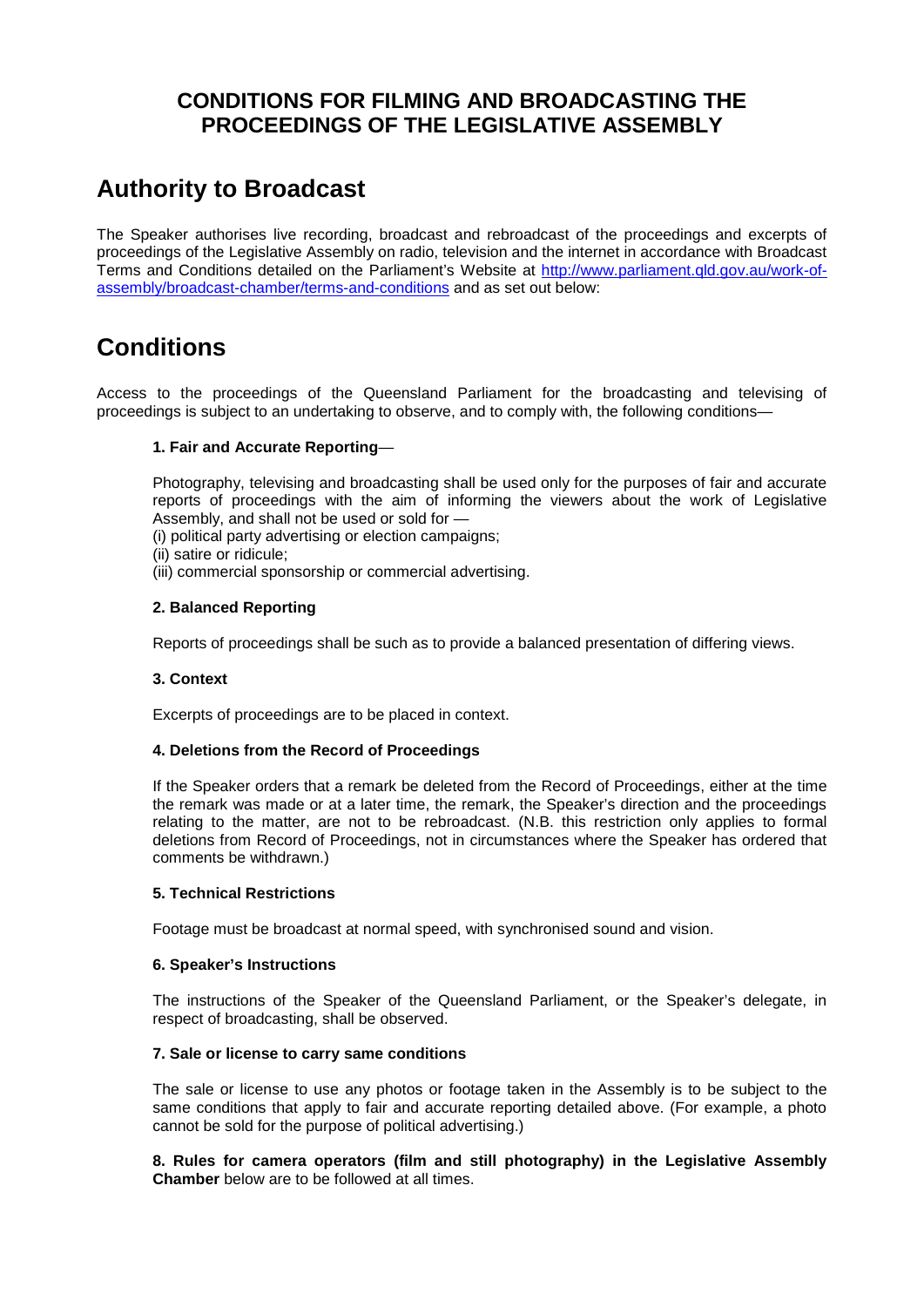## **CONDITIONS FOR FILMING AND BROADCASTING THE PROCEEDINGS OF THE LEGISLATIVE ASSEMBLY**

# **Authority to Broadcast**

The Speaker authorises live recording, broadcast and rebroadcast of the proceedings and excerpts of proceedings of the Legislative Assembly on radio, television and the internet in accordance with Broadcast Terms and Conditions detailed on the Parliament's Website at [http://www.parliament.qld.gov.au/work-of](http://www.parliament.qld.gov.au/work-of-assembly/broadcast-chamber/terms-and-conditions)[assembly/broadcast-chamber/terms-and-conditions](http://www.parliament.qld.gov.au/work-of-assembly/broadcast-chamber/terms-and-conditions) and as set out below:

# **Conditions**

Access to the proceedings of the Queensland Parliament for the broadcasting and televising of proceedings is subject to an undertaking to observe, and to comply with, the following conditions—

### **1. Fair and Accurate Reporting**—

Photography, televising and broadcasting shall be used only for the purposes of fair and accurate reports of proceedings with the aim of informing the viewers about the work of Legislative Assembly, and shall not be used or sold for —

(i) political party advertising or election campaigns;

- (ii) satire or ridicule;
- (iii) commercial sponsorship or commercial advertising.

### **2. Balanced Reporting**

Reports of proceedings shall be such as to provide a balanced presentation of differing views.

### **3. Context**

Excerpts of proceedings are to be placed in context.

### **4. Deletions from the Record of Proceedings**

If the Speaker orders that a remark be deleted from the Record of Proceedings, either at the time the remark was made or at a later time, the remark, the Speaker's direction and the proceedings relating to the matter, are not to be rebroadcast. (N.B. this restriction only applies to formal deletions from Record of Proceedings, not in circumstances where the Speaker has ordered that comments be withdrawn.)

### **5. Technical Restrictions**

Footage must be broadcast at normal speed, with synchronised sound and vision.

### **6. Speaker's Instructions**

The instructions of the Speaker of the Queensland Parliament, or the Speaker's delegate, in respect of broadcasting, shall be observed.

#### **7. Sale or license to carry same conditions**

The sale or license to use any photos or footage taken in the Assembly is to be subject to the same conditions that apply to fair and accurate reporting detailed above. (For example, a photo cannot be sold for the purpose of political advertising.)

**8. Rules for camera operators (film and still photography) in the Legislative Assembly Chamber** below are to be followed at all times.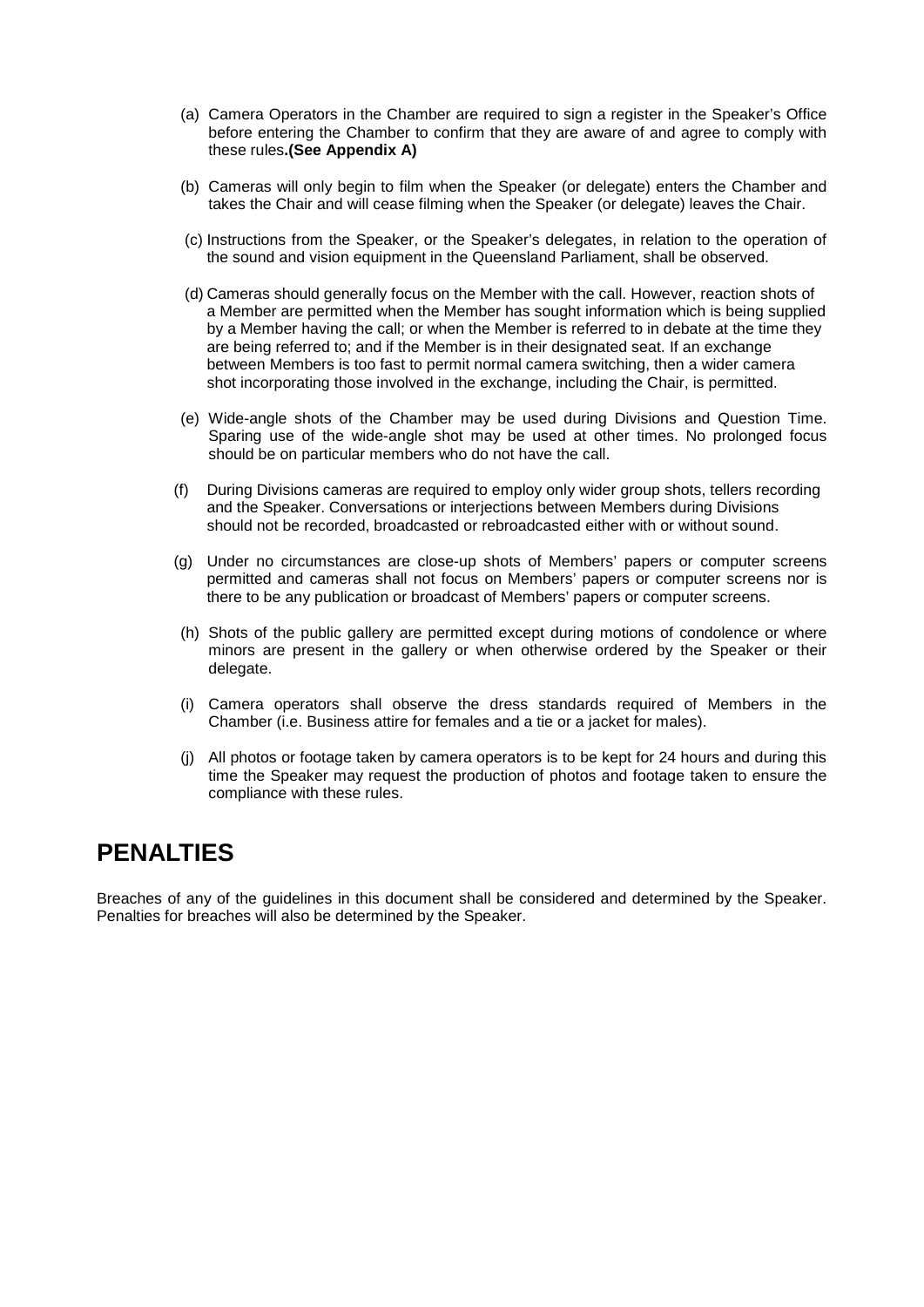- (a) Camera Operators in the Chamber are required to sign a register in the Speaker's Office before entering the Chamber to confirm that they are aware of and agree to comply with these rules**.(See Appendix A)**
- (b) Cameras will only begin to film when the Speaker (or delegate) enters the Chamber and takes the Chair and will cease filming when the Speaker (or delegate) leaves the Chair.
- (c) Instructions from the Speaker, or the Speaker's delegates, in relation to the operation of the sound and vision equipment in the Queensland Parliament, shall be observed.
- (d) Cameras should generally focus on the Member with the call. However, reaction shots of a Member are permitted when the Member has sought information which is being supplied by a Member having the call; or when the Member is referred to in debate at the time they are being referred to; and if the Member is in their designated seat. If an exchange between Members is too fast to permit normal camera switching, then a wider camera shot incorporating those involved in the exchange, including the Chair, is permitted.
- (e) Wide-angle shots of the Chamber may be used during Divisions and Question Time. Sparing use of the wide-angle shot may be used at other times. No prolonged focus should be on particular members who do not have the call.
- (f) During Divisions cameras are required to employ only wider group shots, tellers recording and the Speaker. Conversations or interjections between Members during Divisions should not be recorded, broadcasted or rebroadcasted either with or without sound.
- (g) Under no circumstances are close-up shots of Members' papers or computer screens permitted and cameras shall not focus on Members' papers or computer screens nor is there to be any publication or broadcast of Members' papers or computer screens.
- (h) Shots of the public gallery are permitted except during motions of condolence or where minors are present in the gallery or when otherwise ordered by the Speaker or their delegate.
- (i) Camera operators shall observe the dress standards required of Members in the Chamber (i.e. Business attire for females and a tie or a jacket for males).
- (j) All photos or footage taken by camera operators is to be kept for 24 hours and during this time the Speaker may request the production of photos and footage taken to ensure the compliance with these rules.

## **PENALTIES**

Breaches of any of the guidelines in this document shall be considered and determined by the Speaker. Penalties for breaches will also be determined by the Speaker.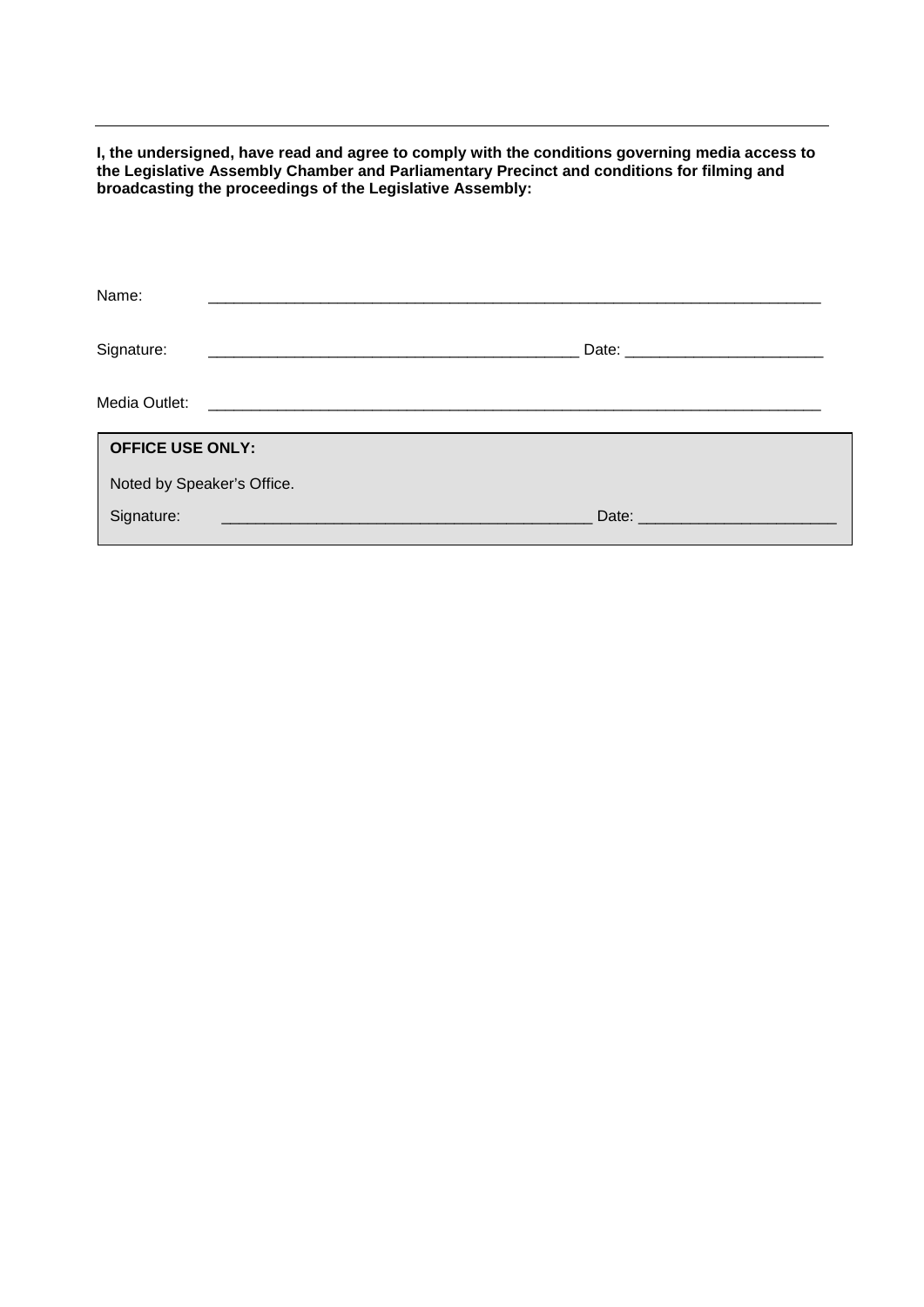**I, the undersigned, have read and agree to comply with the conditions governing media access to the Legislative Assembly Chamber and Parliamentary Precinct and conditions for filming and broadcasting the proceedings of the Legislative Assembly:**

| Name:                      |                                                                                                                      |  |
|----------------------------|----------------------------------------------------------------------------------------------------------------------|--|
| Signature:                 |                                                                                                                      |  |
| Media Outlet:              | <u> 1989 - Johann Storm, martin santa masjid a shekara ta 1989 ta 1989 ta 1989 ta 1989 ta 1989 ta 1989 ta 1989 t</u> |  |
| <b>OFFICE USE ONLY:</b>    |                                                                                                                      |  |
| Noted by Speaker's Office. |                                                                                                                      |  |
| Signature:                 | Date: _________                                                                                                      |  |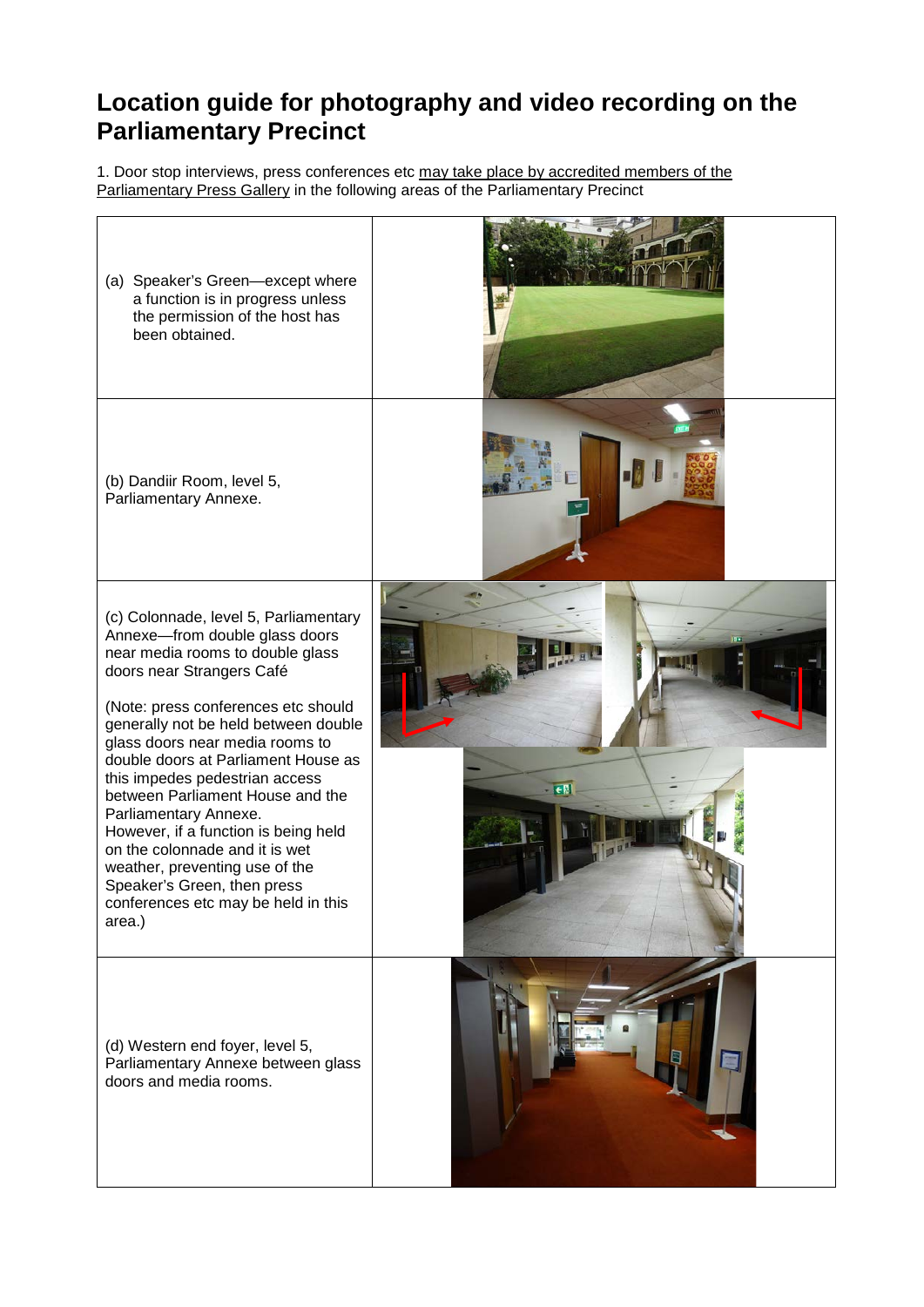# **Location guide for photography and video recording on the Parliamentary Precinct**

1. Door stop interviews, press conferences etc may take place by accredited members of the Parliamentary Press Gallery in the following areas of the Parliamentary Precinct

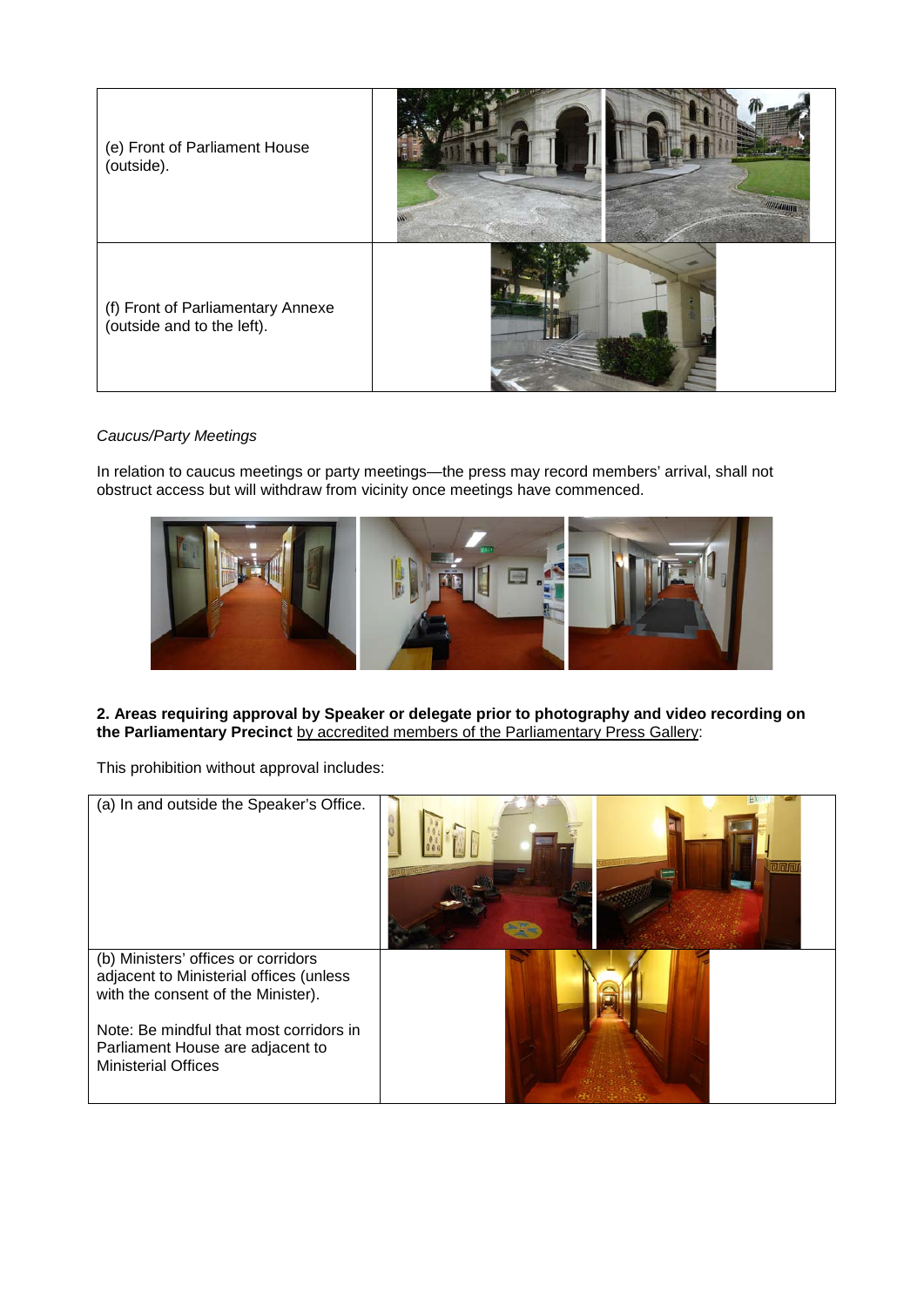

### *Caucus/Party Meetings*

In relation to caucus meetings or party meetings—the press may record members' arrival, shall not obstruct access but will withdraw from vicinity once meetings have commenced.



### **2. Areas requiring approval by Speaker or delegate prior to photography and video recording on the Parliamentary Precinct** by accredited members of the Parliamentary Press Gallery:

This prohibition without approval includes:

| (a) In and outside the Speaker's Office.                                                                             |  |
|----------------------------------------------------------------------------------------------------------------------|--|
| (b) Ministers' offices or corridors<br>adjacent to Ministerial offices (unless<br>with the consent of the Minister). |  |
| Note: Be mindful that most corridors in<br>Parliament House are adjacent to<br><b>Ministerial Offices</b>            |  |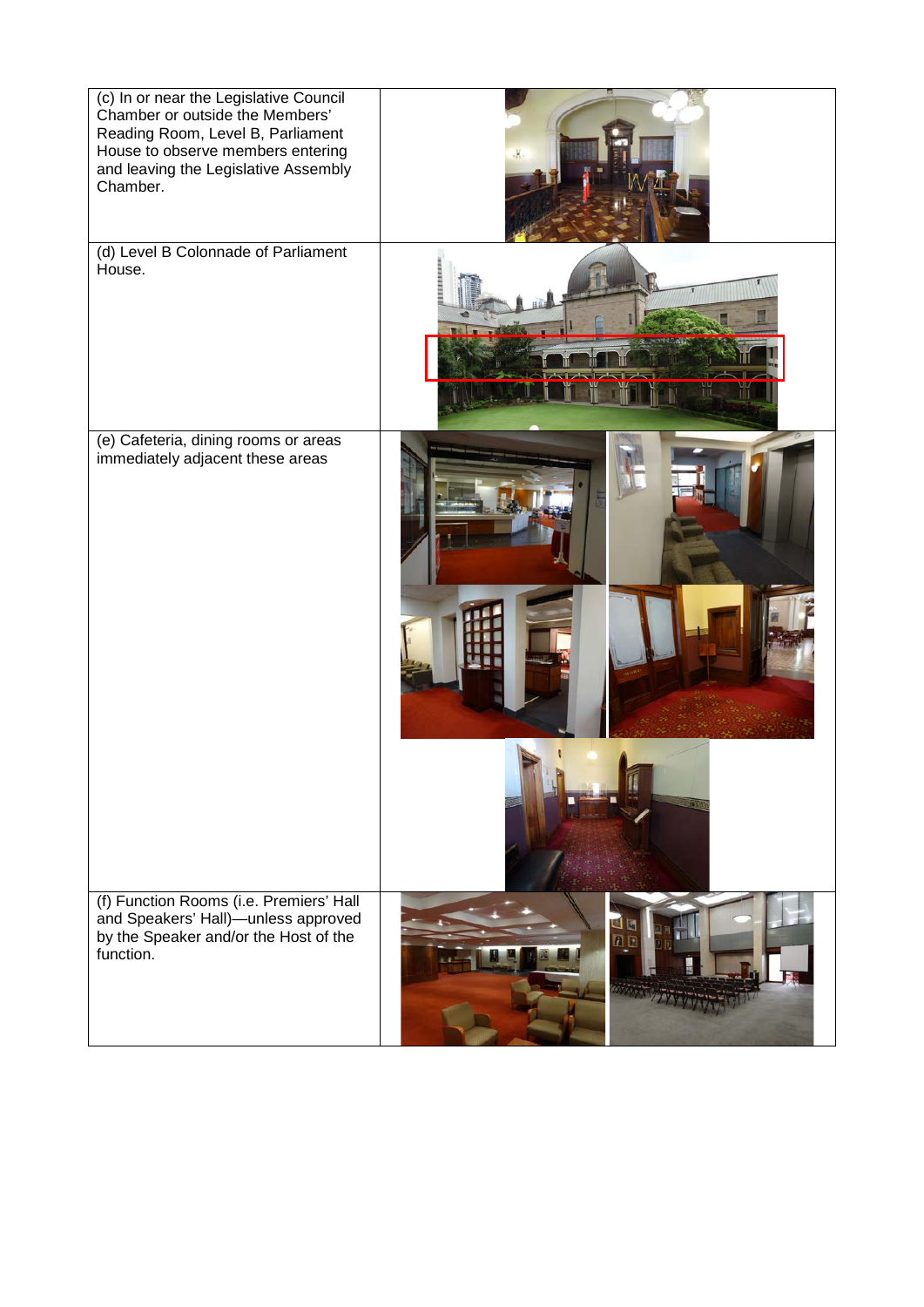